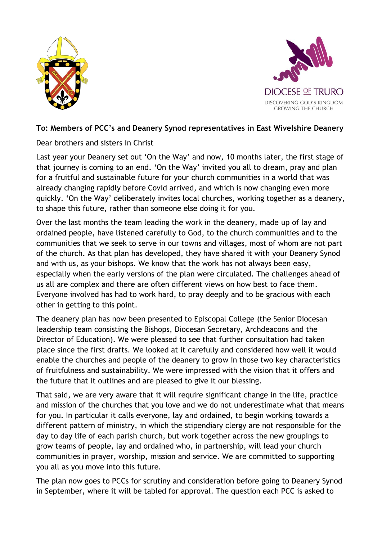



## **To: Members of PCC's and Deanery Synod representatives in East Wivelshire Deanery**

Dear brothers and sisters in Christ

Last year your Deanery set out 'On the Way' and now, 10 months later, the first stage of that journey is coming to an end. 'On the Way' invited you all to dream, pray and plan for a fruitful and sustainable future for your church communities in a world that was already changing rapidly before Covid arrived, and which is now changing even more quickly. 'On the Way' deliberately invites local churches, working together as a deanery, to shape this future, rather than someone else doing it for you.

Over the last months the team leading the work in the deanery, made up of lay and ordained people, have listened carefully to God, to the church communities and to the communities that we seek to serve in our towns and villages, most of whom are not part of the church. As that plan has developed, they have shared it with your Deanery Synod and with us, as your bishops. We know that the work has not always been easy, especially when the early versions of the plan were circulated. The challenges ahead of us all are complex and there are often different views on how best to face them. Everyone involved has had to work hard, to pray deeply and to be gracious with each other in getting to this point.

The deanery plan has now been presented to Episcopal College (the Senior Diocesan leadership team consisting the Bishops, Diocesan Secretary, Archdeacons and the Director of Education). We were pleased to see that further consultation had taken place since the first drafts. We looked at it carefully and considered how well it would enable the churches and people of the deanery to grow in those two key characteristics of fruitfulness and sustainability. We were impressed with the vision that it offers and the future that it outlines and are pleased to give it our blessing.

That said, we are very aware that it will require significant change in the life, practice and mission of the churches that you love and we do not underestimate what that means for you. In particular it calls everyone, lay and ordained, to begin working towards a different pattern of ministry, in which the stipendiary clergy are not responsible for the day to day life of each parish church, but work together across the new groupings to grow teams of people, lay and ordained who, in partnership, will lead your church communities in prayer, worship, mission and service. We are committed to supporting you all as you move into this future.

The plan now goes to PCCs for scrutiny and consideration before going to Deanery Synod in September, where it will be tabled for approval. The question each PCC is asked to